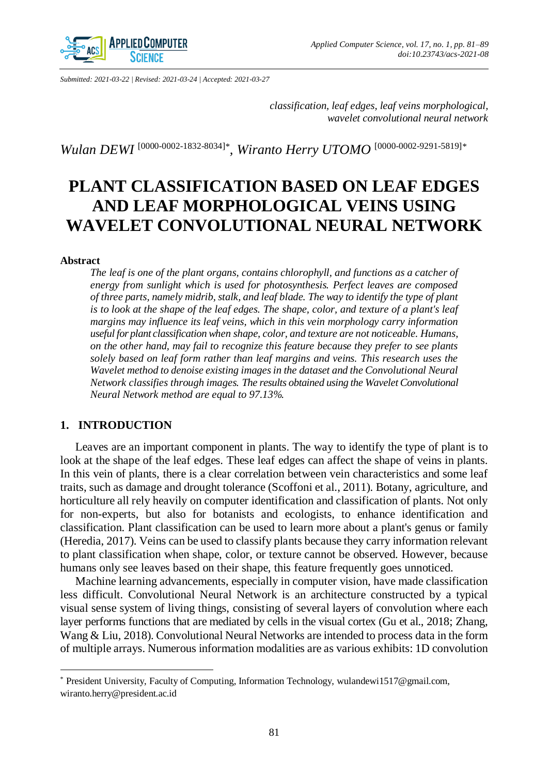

*Submitted: 2021-03-22 | Revised: 2021-03-24 | Accepted: 2021-03-27*

*classification, leaf edges, leaf veins morphological, wavelet convolutional neural network* 

*Wulan DEWI* <sup>[\[0000-0002-1832-8034\]](http://orcid.org/0000-0002-1832-8034)<sup>\*</sup>, *Wiranto Herry UTOMO* <sup>[\[0000-0002-9291-5819\]](http://orcid.org/0000-0002-9291-5819)\*</sup></sup>

# **PLANT CLASSIFICATION BASED ON LEAF EDGES AND LEAF MORPHOLOGICAL VEINS USING WAVELET CONVOLUTIONAL NEURAL NETWORK**

#### **Abstract**

 $\overline{a}$ 

*The leaf is one of the plant organs, contains chlorophyll, and functions as a catcher of energy from sunlight which is used for photosynthesis. Perfect leaves are composed of three parts, namely midrib, stalk, and leaf blade. The way to identify the type of plant is to look at the shape of the leaf edges. The shape, color, and texture of a plant's leaf margins may influence its leaf veins, which in this vein morphology carry information useful for plant classification when shape, color, and texture are not noticeable. Humans, on the other hand, may fail to recognize this feature because they prefer to see plants solely based on leaf form rather than leaf margins and veins. This research uses the Wavelet method to denoise existing images in the dataset and the Convolutional Neural Network classifies through images. The results obtained using the Wavelet Convolutional Neural Network method are equal to 97.13%.* 

# **1. INTRODUCTION**

Leaves are an important component in plants. The way to identify the type of plant is to look at the shape of the leaf edges. These leaf edges can affect the shape of veins in plants. In this vein of plants, there is a clear correlation between vein characteristics and some leaf traits, such as damage and drought tolerance (Scoffoni et al., 2011). Botany, agriculture, and horticulture all rely heavily on computer identification and classification of plants. Not only for non-experts, but also for botanists and ecologists, to enhance identification and classification. Plant classification can be used to learn more about a plant's genus or family (Heredia, 2017). Veins can be used to classify plants because they carry information relevant to plant classification when shape, color, or texture cannot be observed. However, because humans only see leaves based on their shape, this feature frequently goes unnoticed.

Machine learning advancements, especially in computer vision, have made classification less difficult. Convolutional Neural Network is an architecture constructed by a typical visual sense system of living things, consisting of several layers of convolution where each layer performs functions that are mediated by cells in the visual cortex (Gu et al., 2018; Zhang, Wang & Liu, 2018). Convolutional Neural Networks are intended to process data in the form of multiple arrays. Numerous information modalities are as various exhibits: 1D convolution

<sup>\*</sup> President University, Faculty of Computing, Information Technology, wulandewi1517@gmail.com, wiranto.herry@president.ac.id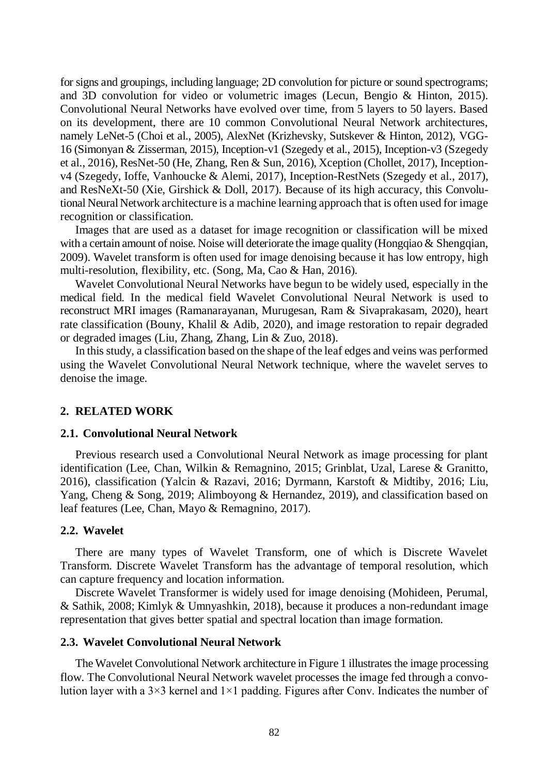for signs and groupings, including language; 2D convolution for picture or sound spectrograms; and 3D convolution for video or volumetric images (Lecun, Bengio & Hinton, 2015). Convolutional Neural Networks have evolved over time, from 5 layers to 50 layers. Based on its development, there are 10 common Convolutional Neural Network architectures, namely LeNet-5 (Choi et al., 2005), AlexNet (Krizhevsky, Sutskever & Hinton, 2012), VGG-16 (Simonyan & Zisserman, 2015), Inception-v1 (Szegedy et al., 2015), Inception-v3 (Szegedy et al., 2016), ResNet-50 (He, Zhang, Ren & Sun, 2016), Xception (Chollet, 2017), Inceptionv4 (Szegedy, Ioffe, Vanhoucke & Alemi, 2017), Inception-RestNets (Szegedy et al., 2017), and ResNeXt-50 (Xie, Girshick & Doll, 2017). Because of its high accuracy, this Convolutional Neural Network architecture is a machine learning approach that is often used for image recognition or classification.

Images that are used as a dataset for image recognition or classification will be mixed with a certain amount of noise. Noise will deteriorate the image quality (Hongqiao & Shengqian, 2009). Wavelet transform is often used for image denoising because it has low entropy, high multi-resolution, flexibility, etc. (Song, Ma, Cao & Han, 2016).

Wavelet Convolutional Neural Networks have begun to be widely used, especially in the medical field. In the medical field Wavelet Convolutional Neural Network is used to reconstruct MRI images (Ramanarayanan, Murugesan, Ram & Sivaprakasam, 2020), heart rate classification (Bouny, Khalil & Adib, 2020), and image restoration to repair degraded or degraded images (Liu, Zhang, Zhang, Lin & Zuo, 2018).

In this study, a classification based on the shape of the leaf edges and veins was performed using the Wavelet Convolutional Neural Network technique, where the wavelet serves to denoise the image.

# **2. RELATED WORK**

#### **2.1. Convolutional Neural Network**

Previous research used a Convolutional Neural Network as image processing for plant identification (Lee, Chan, Wilkin & Remagnino, 2015; Grinblat, Uzal, Larese & Granitto, 2016), classification (Yalcin & Razavi, 2016; Dyrmann, Karstoft & Midtiby, 2016; Liu, Yang, Cheng & Song, 2019; Alimboyong & Hernandez, 2019), and classification based on leaf features (Lee, Chan, Mayo & Remagnino, 2017).

#### **2.2. Wavelet**

There are many types of Wavelet Transform, one of which is Discrete Wavelet Transform. Discrete Wavelet Transform has the advantage of temporal resolution, which can capture frequency and location information.

Discrete Wavelet Transformer is widely used for image denoising (Mohideen, Perumal, & Sathik, 2008; Kimlyk & Umnyashkin, 2018), because it produces a non-redundant image representation that gives better spatial and spectral location than image formation.

# **2.3. Wavelet Convolutional Neural Network**

The Wavelet Convolutional Network architecture in Figure 1 illustrates the image processing flow. The Convolutional Neural Network wavelet processes the image fed through a convolution layer with a  $3\times3$  kernel and  $1\times1$  padding. Figures after Conv. Indicates the number of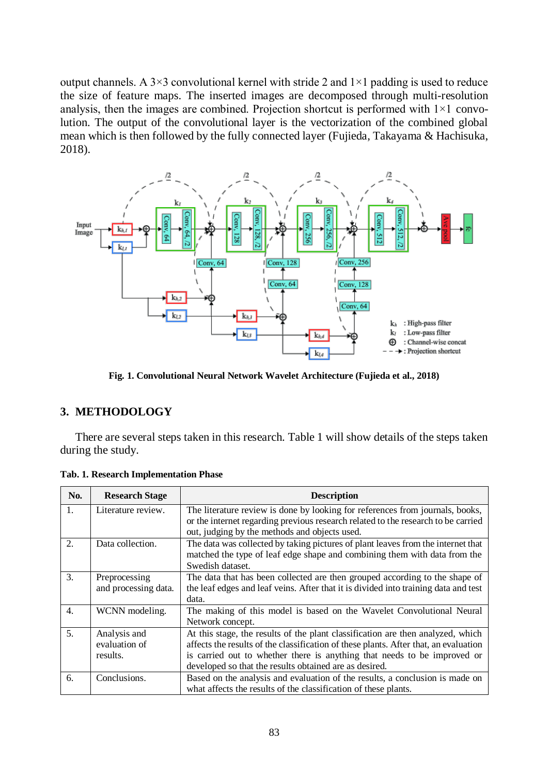output channels. A  $3\times3$  convolutional kernel with stride 2 and  $1\times1$  padding is used to reduce the size of feature maps. The inserted images are decomposed through multi-resolution analysis, then the images are combined. Projection shortcut is performed with  $1\times1$  convolution. The output of the convolutional layer is the vectorization of the combined global mean which is then followed by the fully connected layer (Fujieda, Takayama & Hachisuka, 2018).



**Fig. 1. Convolutional Neural Network Wavelet Architecture (Fujieda et al., 2018)** 

# **3. METHODOLOGY**

There are several steps taken in this research. Table 1 will show details of the steps taken during the study.

| No.            | <b>Research Stage</b> | <b>Description</b>                                                                   |
|----------------|-----------------------|--------------------------------------------------------------------------------------|
| $\mathbf{1}$ . | Literature review.    | The literature review is done by looking for references from journals, books,        |
|                |                       | or the internet regarding previous research related to the research to be carried    |
|                |                       | out, judging by the methods and objects used.                                        |
| $\mathfrak{D}$ | Data collection.      | The data was collected by taking pictures of plant leaves from the internet that     |
|                |                       | matched the type of leaf edge shape and combining them with data from the            |
|                |                       | Swedish dataset.                                                                     |
| $\mathcal{R}$  | Preprocessing         | The data that has been collected are then grouped according to the shape of          |
|                | and processing data.  | the leaf edges and leaf veins. After that it is divided into training data and test  |
|                |                       | data.                                                                                |
| 4.             | WCNN modeling.        | The making of this model is based on the Wavelet Convolutional Neural                |
|                |                       | Network concept.                                                                     |
| 5.             | Analysis and          | At this stage, the results of the plant classification are then analyzed, which      |
|                | evaluation of         | affects the results of the classification of these plants. After that, an evaluation |
|                | results.              | is carried out to whether there is anything that needs to be improved or             |
|                |                       | developed so that the results obtained are as desired.                               |
| 6.             | Conclusions.          | Based on the analysis and evaluation of the results, a conclusion is made on         |
|                |                       | what affects the results of the classification of these plants.                      |

**Tab. 1. Research Implementation Phase**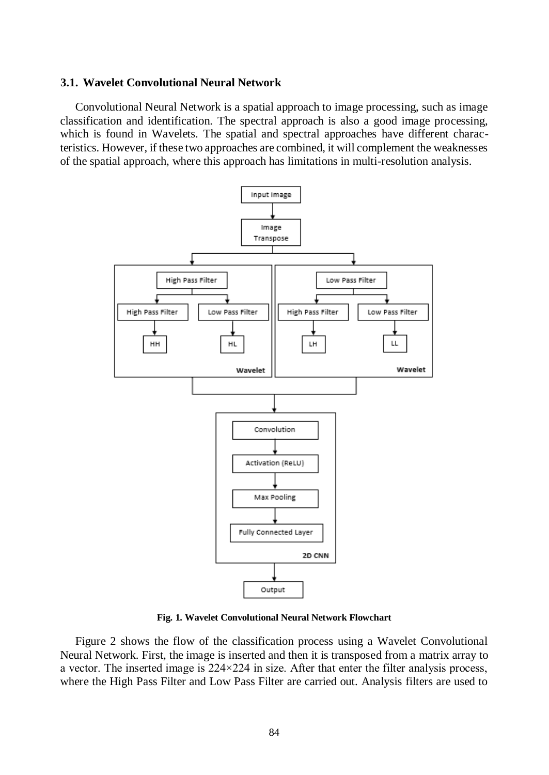# **3.1. Wavelet Convolutional Neural Network**

Convolutional Neural Network is a spatial approach to image processing, such as image classification and identification. The spectral approach is also a good image processing, which is found in Wavelets. The spatial and spectral approaches have different characteristics. However, if these two approaches are combined, it will complement the weaknesses of the spatial approach, where this approach has limitations in multi-resolution analysis.



**Fig. 1. Wavelet Convolutional Neural Network Flowchart**

Figure 2 shows the flow of the classification process using a Wavelet Convolutional Neural Network. First, the image is inserted and then it is transposed from a matrix array to a vector. The inserted image is  $224 \times 224$  in size. After that enter the filter analysis process, where the High Pass Filter and Low Pass Filter are carried out. Analysis filters are used to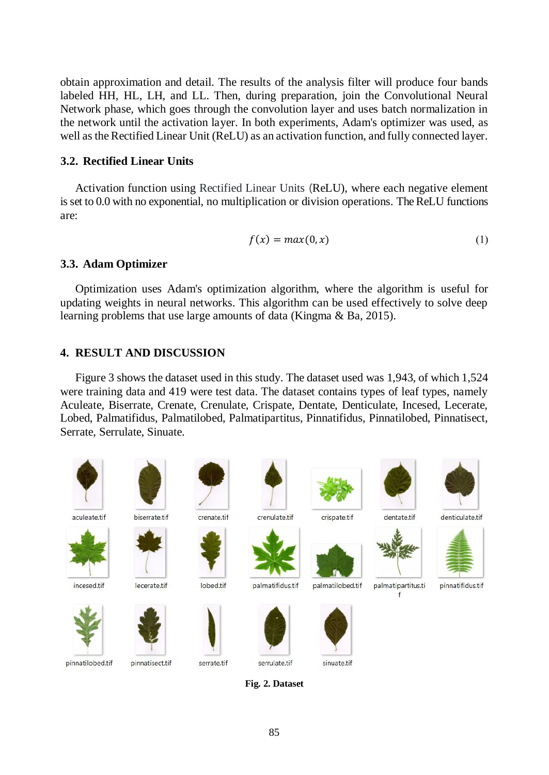obtain approximation and detail. The results of the analysis filter will produce four bands labeled HH, HL, LH, and LL. Then, during preparation, join the Convolutional Neural Network phase, which goes through the convolution layer and uses batch normalization in the network until the activation layer. In both experiments, Adam's optimizer was used, as well as the Rectified Linear Unit (ReLU) as an activation function, and fully connected layer.

## **3.2. Rectified Linear Units**

Activation function using Rectified Linear Units (ReLU), where each negative element is set to 0.0 with no exponential, no multiplication or division operations. The ReLU functions are:

$$
f(x) = max(0, x) \tag{1}
$$

# **3.3. Adam Optimizer**

Optimization uses Adam's optimization algorithm, where the algorithm is useful for updating weights in neural networks. This algorithm can be used effectively to solve deep learning problems that use large amounts of data (Kingma & Ba, 2015).

# **4. RESULT AND DISCUSSION**

Figure 3 shows the dataset used in this study. The dataset used was 1,943, of which 1,524 were training data and 419 were test data. The dataset contains types of leaf types, namely Aculeate, Biserrate, Crenate, Crenulate, Crispate, Dentate, Denticulate, Incesed, Lecerate, Lobed, Palmatifidus, Palmatilobed, Palmatipartitus, Pinnatifidus, Pinnatilobed, Pinnatisect, Serrate, Serrulate, Sinuate.



**Fig. 2. Dataset**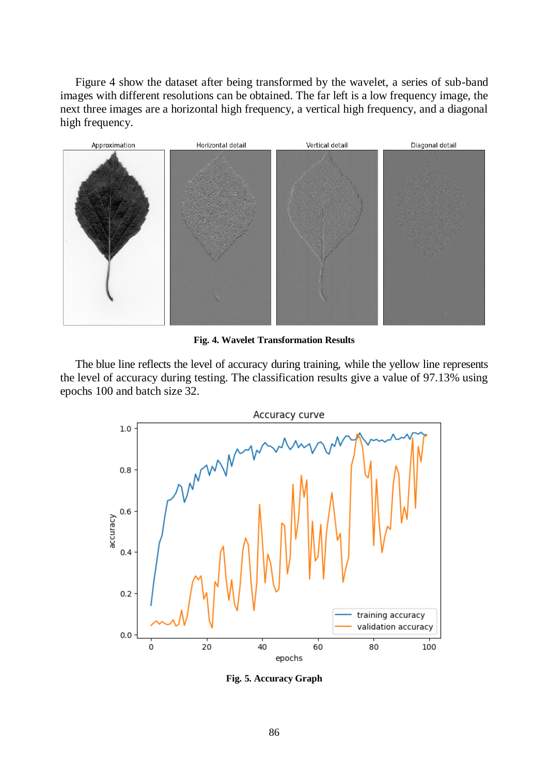Figure 4 show the dataset after being transformed by the wavelet, a series of sub-band images with different resolutions can be obtained. The far left is a low frequency image, the next three images are a horizontal high frequency, a vertical high frequency, and a diagonal high frequency.



**Fig. 4. Wavelet Transformation Results**

The blue line reflects the level of accuracy during training, while the yellow line represents the level of accuracy during testing. The classification results give a value of 97.13% using epochs 100 and batch size 32.



**Fig. 5. Accuracy Graph**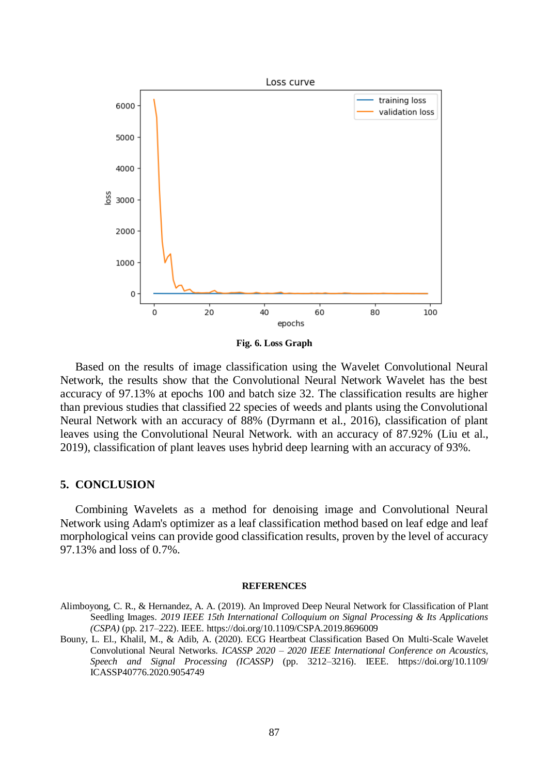

**Fig. 6. Loss Graph**

Based on the results of image classification using the Wavelet Convolutional Neural Network, the results show that the Convolutional Neural Network Wavelet has the best accuracy of 97.13% at epochs 100 and batch size 32. The classification results are higher than previous studies that classified 22 species of weeds and plants using the Convolutional Neural Network with an accuracy of 88% (Dyrmann et al., 2016), classification of plant leaves using the Convolutional Neural Network. with an accuracy of 87.92% (Liu et al., 2019), classification of plant leaves uses hybrid deep learning with an accuracy of 93%.

## **5. CONCLUSION**

Combining Wavelets as a method for denoising image and Convolutional Neural Network using Adam's optimizer as a leaf classification method based on leaf edge and leaf morphological veins can provide good classification results, proven by the level of accuracy 97.13% and loss of 0.7%.

#### **REFERENCES**

- Alimboyong, C. R., & Hernandez, A. A. (2019). An Improved Deep Neural Network for Classification of Plant Seedling Images. *2019 IEEE 15th International Colloquium on Signal Processing & Its Applications (CSPA)* (pp. 217–222). IEEE. https://doi.org/10.1109/CSPA.2019.8696009
- Bouny, L. El., Khalil, M., & Adib, A. (2020). ECG Heartbeat Classification Based On Multi-Scale Wavelet Convolutional Neural Networks. *ICASSP 2020 – 2020 IEEE International Conference on Acoustics, Speech and Signal Processing (ICASSP)* (pp. 3212–3216). IEEE. https://doi.org/10.1109/ ICASSP40776.2020.9054749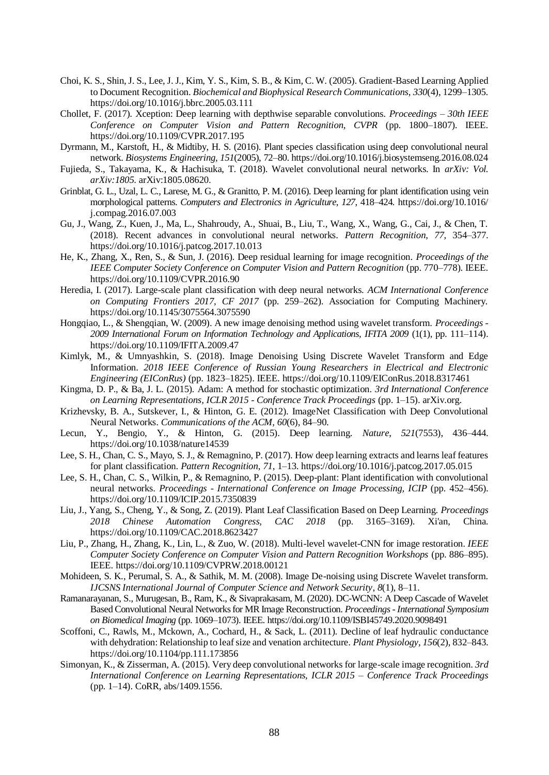- Choi, K. S., Shin, J. S., Lee, J. J., Kim, Y. S., Kim, S. B., & Kim, C. W. (2005). Gradient-Based Learning Applied to Document Recognition. *Biochemical and Biophysical Research Communications*, *330*(4), 1299–1305. https://doi.org/10.1016/j.bbrc.2005.03.111
- Chollet, F. (2017). Xception: Deep learning with depthwise separable convolutions. *Proceedings – 30th IEEE Conference on Computer Vision and Pattern Recognition, CVPR* (pp. 1800–1807). IEEE. https://doi.org/10.1109/CVPR.2017.195
- Dyrmann, M., Karstoft, H., & Midtiby, H. S. (2016). Plant species classification using deep convolutional neural network. *Biosystems Engineering*, *151*(2005), 72–80. https://doi.org/10.1016/j.biosystemseng.2016.08.024
- Fujieda, S., Takayama, K., & Hachisuka, T. (2018). Wavelet convolutional neural networks. In *arXiv: Vol. arXiv:1805*. arXiv:1805.08620.
- Grinblat, G. L., Uzal, L. C., Larese, M. G., & Granitto, P. M. (2016). Deep learning for plant identification using vein morphological patterns. *Computers and Electronics in Agriculture*, *127*, 418–424. https://doi.org/10.1016/ j.compag.2016.07.003
- Gu, J., Wang, Z., Kuen, J., Ma, L., Shahroudy, A., Shuai, B., Liu, T., Wang, X., Wang, G., Cai, J., & Chen, T. (2018). Recent advances in convolutional neural networks. *Pattern Recognition*, *77*, 354–377. https://doi.org/10.1016/j.patcog.2017.10.013
- He, K., Zhang, X., Ren, S., & Sun, J. (2016). Deep residual learning for image recognition. *Proceedings of the IEEE Computer Society Conference on Computer Vision and Pattern Recognition* (pp. 770–778). IEEE. https://doi.org/10.1109/CVPR.2016.90
- Heredia, I. (2017). Large-scale plant classification with deep neural networks. *ACM International Conference on Computing Frontiers 2017, CF 2017* (pp. 259–262). Association for Computing Machinery. https://doi.org/10.1145/3075564.3075590
- Hongqiao, L., & Shengqian, W. (2009). A new image denoising method using wavelet transform. *Proceedings - 2009 International Forum on Information Technology and Applications, IFITA 2009* (1(1), pp. 111–114). https://doi.org/10.1109/IFITA.2009.47
- Kimlyk, M., & Umnyashkin, S. (2018). Image Denoising Using Discrete Wavelet Transform and Edge Information. *2018 IEEE Conference of Russian Young Researchers in Electrical and Electronic Engineering (EIConRus)* (pp. 1823–1825). IEEE. https://doi.org/10.1109/EIConRus.2018.8317461
- Kingma, D. P., & Ba, J. L. (2015). Adam: A method for stochastic optimization. *3rd International Conference on Learning Representations, ICLR 2015 - Conference Track Proceedings* (pp. 1–15). arXiv.org.
- Krizhevsky, B. A., Sutskever, I., & Hinton, G. E. (2012). ImageNet Classification with Deep Convolutional Neural Networks. *Communications of the ACM*, *60*(6), 84–90.
- Lecun, Y., Bengio, Y., & Hinton, G. (2015). Deep learning. *Nature*, *521*(7553), 436–444. https://doi.org/10.1038/nature14539
- Lee, S. H., Chan, C. S., Mayo, S. J., & Remagnino, P. (2017). How deep learning extracts and learns leaf features for plant classification. *Pattern Recognition*, *71*, 1–13. https://doi.org/10.1016/j.patcog.2017.05.015
- Lee, S. H., Chan, C. S., Wilkin, P., & Remagnino, P. (2015). Deep-plant: Plant identification with convolutional neural networks. *Proceedings - International Conference on Image Processing, ICIP* (pp. 452–456). https://doi.org/10.1109/ICIP.2015.7350839
- Liu, J., Yang, S., Cheng, Y., & Song, Z. (2019). Plant Leaf Classification Based on Deep Learning. *Proceedings 2018 Chinese Automation Congress, CAC 2018* (pp. 3165–3169). Xi'an, China. https://doi.org/10.1109/CAC.2018.8623427
- Liu, P., Zhang, H., Zhang, K., Lin, L., & Zuo, W. (2018). Multi-level wavelet-CNN for image restoration. *IEEE Computer Society Conference on Computer Vision and Pattern Recognition Workshops* (pp. 886–895). IEEE. https://doi.org/10.1109/CVPRW.2018.00121
- Mohideen, S. K., Perumal, S. A., & Sathik, M. M. (2008). Image De-noising using Discrete Wavelet transform. *IJCSNS International Journal of Computer Science and Network Security*, *8*(1), 8–11.
- Ramanarayanan, S., Murugesan, B., Ram, K., & Sivaprakasam, M. (2020). DC-WCNN: A Deep Cascade of Wavelet Based Convolutional Neural Networks for MR Image Reconstruction. *Proceedings - International Symposium on Biomedical Imaging* (pp. 1069–1073). IEEE. https://doi.org/10.1109/ISBI45749.2020.9098491
- Scoffoni, C., Rawls, M., Mckown, A., Cochard, H., & Sack, L. (2011). Decline of leaf hydraulic conductance with dehydration: Relationship to leaf size and venation architecture. *Plant Physiology*, *156*(2), 832–843. https://doi.org/10.1104/pp.111.173856
- Simonyan, K., & Zisserman, A. (2015). Very deep convolutional networks for large-scale image recognition. *3rd International Conference on Learning Representations, ICLR 2015 – Conference Track Proceedings* (pp. 1–14). CoRR, abs/1409.1556.